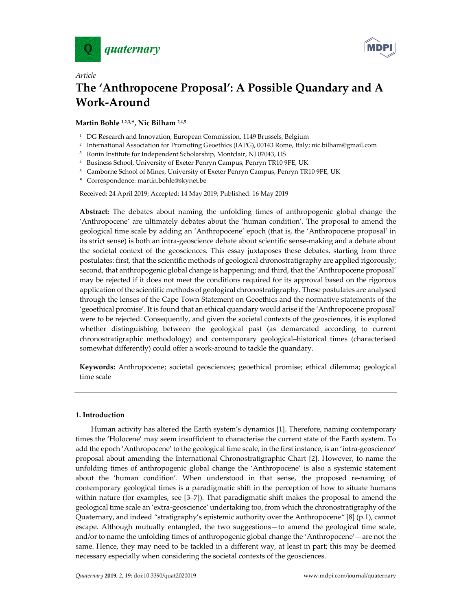

*Article* 



# **The 'Anthropocene Proposal': A Possible Quandary and A Work-Around**

# **Martin Bohle 1,2,3,\*, Nic Bilham 2,4,5**

- <sup>1</sup> DG Research and Innovation, European Commission, 1149 Brussels, Belgium
- 2 International Association for Promoting Geoethics (IAPG), 00143 Rome, Italy; nic.bilham@gmail.com
- <sup>3</sup> Ronin Institute for Independent Scholarship, Montclair, NJ 07043, US
- 4 Business School, University of Exeter Penryn Campus, Penryn TR10 9FE, UK
- 5 Camborne School of Mines, University of Exeter Penryn Campus, Penryn TR10 9FE, UK
- **\*** Correspondence: martin.bohle@skynet.be

Received: 24 April 2019; Accepted: 14 May 2019; Published: 16 May 2019

**Abstract:** The debates about naming the unfolding times of anthropogenic global change the 'Anthropocene' are ultimately debates about the 'human condition'. The proposal to amend the geological time scale by adding an 'Anthropocene' epoch (that is, the 'Anthropocene proposal' in its strict sense) is both an intra-geoscience debate about scientific sense-making and a debate about the societal context of the geosciences. This essay juxtaposes these debates, starting from three postulates: first, that the scientific methods of geological chronostratigraphy are applied rigorously; second, that anthropogenic global change is happening; and third, that the 'Anthropocene proposal' may be rejected if it does not meet the conditions required for its approval based on the rigorous application of the scientific methods of geological chronostratigraphy. These postulates are analysed through the lenses of the Cape Town Statement on Geoethics and the normative statements of the 'geoethical promise'. It is found that an ethical quandary would arise if the 'Anthropocene proposal' were to be rejected. Consequently, and given the societal contexts of the geosciences, it is explored whether distinguishing between the geological past (as demarcated according to current chronostratigraphic methodology) and contemporary geological–historical times (characterised somewhat differently) could offer a work-around to tackle the quandary.

**Keywords:** Anthropocene; societal geosciences; geoethical promise; ethical dilemma; geological time scale

## **1. Introduction**

Human activity has altered the Earth system's dynamics [1]. Therefore, naming contemporary times the 'Holocene' may seem insufficient to characterise the current state of the Earth system. To add the epoch 'Anthropocene' to the geological time scale, in the first instance, is an 'intra-geoscience' proposal about amending the International Chronostratigraphic Chart [2]. However, to name the unfolding times of anthropogenic global change the 'Anthropocene' is also a systemic statement about the 'human condition'. When understood in that sense, the proposed re-naming of contemporary geological times is a paradigmatic shift in the perception of how to situate humans within nature (for examples, see [3–7]). That paradigmatic shift makes the proposal to amend the geological time scale an 'extra-geoscience' undertaking too, from which the chronostratigraphy of the Quaternary, and indeed *"*stratigraphy's epistemic authority over the Anthropocene*"* [8] (p.1), cannot escape. Although mutually entangled, the two suggestions—to amend the geological time scale, and/or to name the unfolding times of anthropogenic global change the 'Anthropocene'—are not the same. Hence, they may need to be tackled in a different way, at least in part; this may be deemed necessary especially when considering the societal contexts of the geosciences.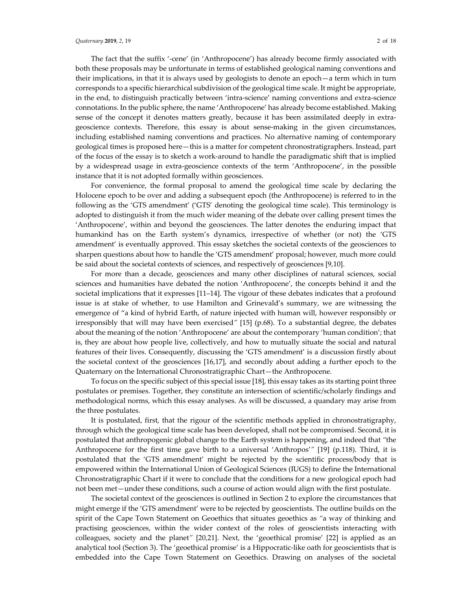The fact that the suffix '-cene' (in 'Anthropocene') has already become firmly associated with both these proposals may be unfortunate in terms of established geological naming conventions and their implications, in that it is always used by geologists to denote an epoch—a term which in turn corresponds to a specific hierarchical subdivision of the geological time scale. It might be appropriate, in the end, to distinguish practically between 'intra-science' naming conventions and extra-science connotations. In the public sphere, the name 'Anthropocene' has already become established. Making sense of the concept it denotes matters greatly, because it has been assimilated deeply in extrageoscience contexts. Therefore, this essay is about sense-making in the given circumstances, including established naming conventions and practices. No alternative naming of contemporary geological times is proposed here—this is a matter for competent chronostratigraphers. Instead, part of the focus of the essay is to sketch a work-around to handle the paradigmatic shift that is implied by a widespread usage in extra-geoscience contexts of the term 'Anthropocene', in the possible instance that it is not adopted formally within geosciences.

For convenience, the formal proposal to amend the geological time scale by declaring the Holocene epoch to be over and adding a subsequent epoch (the Anthropocene) is referred to in the following as the 'GTS amendment' ('GTS' denoting the geological time scale). This terminology is adopted to distinguish it from the much wider meaning of the debate over calling present times the 'Anthropocene', within and beyond the geosciences. The latter denotes the enduring impact that humankind has on the Earth system's dynamics, irrespective of whether (or not) the 'GTS amendment' is eventually approved. This essay sketches the societal contexts of the geosciences to sharpen questions about how to handle the 'GTS amendment' proposal; however, much more could be said about the societal contexts of sciences, and respectively of geosciences [9,10].

For more than a decade, geosciences and many other disciplines of natural sciences, social sciences and humanities have debated the notion 'Anthropocene', the concepts behind it and the societal implications that it expresses [11–14]. The vigour of these debates indicates that a profound issue is at stake of whether, to use Hamilton and Grinevald's summary, we are witnessing the emergence of "a kind of hybrid Earth, of nature injected with human will, however responsibly or irresponsibly that will may have been exercised*"* [15] (p.68). To a substantial degree, the debates about the meaning of the notion 'Anthropocene' are about the contemporary 'human condition'; that is, they are about how people live, collectively, and how to mutually situate the social and natural features of their lives. Consequently, discussing the 'GTS amendment' is a discussion firstly about the societal context of the geosciences [16,17], and secondly about adding a further epoch to the Quaternary on the International Chronostratigraphic Chart—the Anthropocene.

To focus on the specific subject of this special issue [18], this essay takes as its starting point three postulates or premises. Together, they constitute an intersection of scientific/scholarly findings and methodological norms, which this essay analyses. As will be discussed, a quandary may arise from the three postulates.

It is postulated, first, that the rigour of the scientific methods applied in chronostratigraphy, through which the geological time scale has been developed, shall not be compromised. Second, it is postulated that anthropogenic global change to the Earth system is happening, and indeed that *"*the Anthropocene for the first time gave birth to a universal 'Anthropos'*"* [19] (p.118). Third, it is postulated that the 'GTS amendment' might be rejected by the scientific process/body that is empowered within the International Union of Geological Sciences (IUGS) to define the International Chronostratigraphic Chart if it were to conclude that the conditions for a new geological epoch had not been met—under these conditions, such a course of action would align with the first postulate.

The societal context of the geosciences is outlined in Section 2 to explore the circumstances that might emerge if the 'GTS amendment' were to be rejected by geoscientists. The outline builds on the spirit of the Cape Town Statement on Geoethics that situates geoethics as *"*a way of thinking and practising geosciences, within the wider context of the roles of geoscientists interacting with colleagues, society and the planet*"* [20,21]. Next, the 'geoethical promise' [22] is applied as an analytical tool (Section 3). The 'geoethical promise' is a Hippocratic-like oath for geoscientists that is embedded into the Cape Town Statement on Geoethics. Drawing on analyses of the societal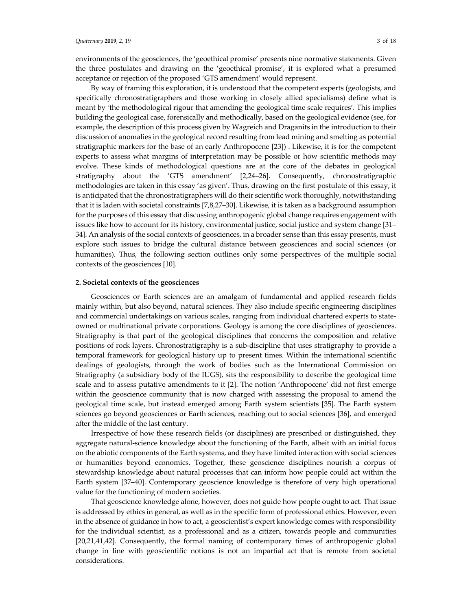environments of the geosciences, the 'geoethical promise' presents nine normative statements. Given the three postulates and drawing on the 'geoethical promise', it is explored what a presumed acceptance or rejection of the proposed 'GTS amendment' would represent.

By way of framing this exploration, it is understood that the competent experts (geologists, and specifically chronostratigraphers and those working in closely allied specialisms) define what is meant by *'*the methodological rigour that amending the geological time scale requires'*.* This implies building the geological case, forensically and methodically, based on the geological evidence (see, for example, the description of this process given by Wagreich and Draganits in the introduction to their discussion of anomalies in the geological record resulting from lead mining and smelting as potential stratigraphic markers for the base of an early Anthropocene [23]) . Likewise, it is for the competent experts to assess what margins of interpretation may be possible or how scientific methods may evolve. These kinds of methodological questions are at the core of the debates in geological stratigraphy about the 'GTS amendment' [2,24–26]. Consequently, chronostratigraphic methodologies are taken in this essay 'as given'. Thus, drawing on the first postulate of this essay, it is anticipated that the chronostratigraphers will do their scientific work thoroughly, notwithstanding that it is laden with societal constraints [7,8,27–30]. Likewise, it is taken as a background assumption for the purposes of this essay that discussing anthropogenic global change requires engagement with issues like how to account for its history, environmental justice, social justice and system change [31– 34]. An analysis of the social contexts of geosciences, in a broader sense than this essay presents, must explore such issues to bridge the cultural distance between geosciences and social sciences (or humanities). Thus, the following section outlines only some perspectives of the multiple social contexts of the geosciences [10].

## **2. Societal contexts of the geosciences**

Geosciences or Earth sciences are an amalgam of fundamental and applied research fields mainly within, but also beyond, natural sciences. They also include specific engineering disciplines and commercial undertakings on various scales, ranging from individual chartered experts to stateowned or multinational private corporations. Geology is among the core disciplines of geosciences. Stratigraphy is that part of the geological disciplines that concerns the composition and relative positions of rock layers. Chronostratigraphy is a sub-discipline that uses stratigraphy to provide a temporal framework for geological history up to present times. Within the international scientific dealings of geologists, through the work of bodies such as the International Commission on Stratigraphy (a subsidiary body of the IUGS), sits the responsibility to describe the geological time scale and to assess putative amendments to it [2]. The notion 'Anthropocene' did not first emerge within the geoscience community that is now charged with assessing the proposal to amend the geological time scale, but instead emerged among Earth system scientists [35]. The Earth system sciences go beyond geosciences or Earth sciences, reaching out to social sciences [36], and emerged after the middle of the last century.

Irrespective of how these research fields (or disciplines) are prescribed or distinguished, they aggregate natural-science knowledge about the functioning of the Earth, albeit with an initial focus on the abiotic components of the Earth systems, and they have limited interaction with social sciences or humanities beyond economics. Together, these geoscience disciplines nourish a corpus of stewardship knowledge about natural processes that can inform how people could act within the Earth system [37–40]. Contemporary geoscience knowledge is therefore of very high operational value for the functioning of modern societies.

That geoscience knowledge alone, however, does not guide how people ought to act. That issue is addressed by ethics in general, as well as in the specific form of professional ethics. However, even in the absence of guidance in how to act, a geoscientist's expert knowledge comes with responsibility for the individual scientist, as a professional and as a citizen, towards people and communities [20,21,41,42]. Consequently, the formal naming of contemporary times of anthropogenic global change in line with geoscientific notions is not an impartial act that is remote from societal considerations.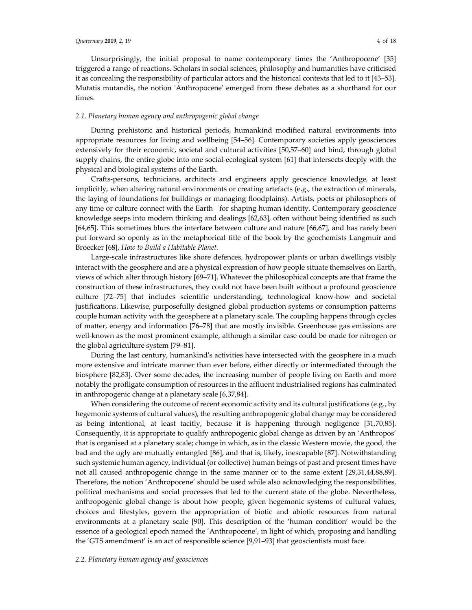Unsurprisingly, the initial proposal to name contemporary times the 'Anthropocene' [35] triggered a range of reactions. Scholars in social sciences, philosophy and humanities have criticised it as concealing the responsibility of particular actors and the historical contexts that led to it [43–53]. Mutatis mutandis, the notion 'Anthropocene' emerged from these debates as a shorthand for our times.

### *2.1. Planetary human agency and anthropogenic global change*

During prehistoric and historical periods, humankind modified natural environments into appropriate resources for living and wellbeing [54–56]. Contemporary societies apply geosciences extensively for their economic, societal and cultural activities [50,57–60] and bind, through global supply chains, the entire globe into one social-ecological system [61] that intersects deeply with the physical and biological systems of the Earth.

Crafts-persons, technicians, architects and engineers apply geoscience knowledge, at least implicitly, when altering natural environments or creating artefacts (e.g., the extraction of minerals, the laying of foundations for buildings or managing floodplains). Artists, poets or philosophers of any time or culture connect with the Earth for shaping human identity. Contemporary geoscience knowledge seeps into modern thinking and dealings [62,63], often without being identified as such [64,65]. This sometimes blurs the interface between culture and nature [66,67], and has rarely been put forward so openly as in the metaphorical title of the book by the geochemists Langmuir and Broecker [68], *How to Build a Habitable Planet.*

Large-scale infrastructures like shore defences, hydropower plants or urban dwellings visibly interact with the geosphere and are a physical expression of how people situate themselves on Earth, views of which alter through history [69–71]. Whatever the philosophical concepts are that frame the construction of these infrastructures, they could not have been built without a profound geoscience culture [72–75] that includes scientific understanding, technological know-how and societal justifications. Likewise, purposefully designed global production systems or consumption patterns couple human activity with the geosphere at a planetary scale. The coupling happens through cycles of matter, energy and information [76–78] that are mostly invisible. Greenhouse gas emissions are well-known as the most prominent example, although a similar case could be made for nitrogen or the global agriculture system [79–81].

During the last century, humankind's activities have intersected with the geosphere in a much more extensive and intricate manner than ever before, either directly or intermediated through the biosphere [82,83]. Over some decades, the increasing number of people living on Earth and more notably the profligate consumption of resources in the affluent industrialised regions has culminated in anthropogenic change at a planetary scale [6,37,84].

When considering the outcome of recent economic activity and its cultural justifications (e.g., by hegemonic systems of cultural values), the resulting anthropogenic global change may be considered as being intentional, at least tacitly, because it is happening through negligence [31,70,85]. Consequently, it is appropriate to qualify anthropogenic global change as driven by an 'Anthropos' that is organised at a planetary scale; change in which, as in the classic Western movie, the good, the bad and the ugly are mutually entangled [86], and that is, likely, inescapable [87]. Notwithstanding such systemic human agency, individual (or collective) human beings of past and present times have not all caused anthropogenic change in the same manner or to the same extent [29,31,44,88,89]. Therefore, the notion 'Anthropocene' should be used while also acknowledging the responsibilities, political mechanisms and social processes that led to the current state of the globe. Nevertheless, anthropogenic global change is about how people, given hegemonic systems of cultural values, choices and lifestyles, govern the appropriation of biotic and abiotic resources from natural environments at a planetary scale [90]. This description of the 'human condition' would be the essence of a geological epoch named the 'Anthropocene', in light of which, proposing and handling the 'GTS amendment' is an act of responsible science [9,91–93] that geoscientists must face.

## *2.2. Planetary human agency and geosciences*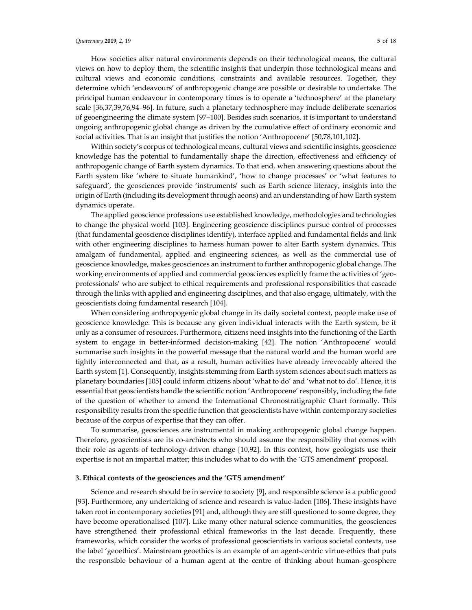How societies alter natural environments depends on their technological means, the cultural views on how to deploy them, the scientific insights that underpin those technological means and cultural views and economic conditions, constraints and available resources. Together, they determine which 'endeavours' of anthropogenic change are possible or desirable to undertake. The principal human endeavour in contemporary times is to operate a 'technosphere' at the planetary scale [36,37,39,76,94–96]. In future, such a planetary technosphere may include deliberate scenarios of geoengineering the climate system [97–100]. Besides such scenarios, it is important to understand ongoing anthropogenic global change as driven by the cumulative effect of ordinary economic and social activities. That is an insight that justifies the notion 'Anthropocene' [50,78,101,102].

Within society's corpus of technological means, cultural views and scientific insights, geoscience knowledge has the potential to fundamentally shape the direction, effectiveness and efficiency of anthropogenic change of Earth system dynamics. To that end, when answering questions about the Earth system like 'where to situate humankind', 'how to change processes' or 'what features to safeguard', the geosciences provide 'instruments' such as Earth science literacy, insights into the origin of Earth (including its development through aeons) and an understanding of how Earth system dynamics operate.

The applied geoscience professions use established knowledge, methodologies and technologies to change the physical world [103]. Engineering geoscience disciplines pursue control of processes (that fundamental geoscience disciplines identify), interface applied and fundamental fields and link with other engineering disciplines to harness human power to alter Earth system dynamics. This amalgam of fundamental, applied and engineering sciences, as well as the commercial use of geoscience knowledge, makes geosciences an instrument to further anthropogenic global change. The working environments of applied and commercial geosciences explicitly frame the activities of 'geoprofessionals' who are subject to ethical requirements and professional responsibilities that cascade through the links with applied and engineering disciplines, and that also engage, ultimately, with the geoscientists doing fundamental research [104].

When considering anthropogenic global change in its daily societal context, people make use of geoscience knowledge. This is because any given individual interacts with the Earth system, be it only as a consumer of resources. Furthermore, citizens need insights into the functioning of the Earth system to engage in better-informed decision-making [42]. The notion 'Anthropocene' would summarise such insights in the powerful message that the natural world and the human world are tightly interconnected and that, as a result, human activities have already irrevocably altered the Earth system [1]. Consequently, insights stemming from Earth system sciences about such matters as planetary boundaries [105] could inform citizens about 'what to do' and 'what not to do'. Hence, it is essential that geoscientists handle the scientific notion 'Anthropocene' responsibly, including the fate of the question of whether to amend the International Chronostratigraphic Chart formally. This responsibility results from the specific function that geoscientists have within contemporary societies because of the corpus of expertise that they can offer.

To summarise, geosciences are instrumental in making anthropogenic global change happen. Therefore, geoscientists are its co-architects who should assume the responsibility that comes with their role as agents of technology-driven change [10,92]. In this context, how geologists use their expertise is not an impartial matter; this includes what to do with the 'GTS amendment' proposal.

## **3. Ethical contexts of the geosciences and the 'GTS amendment'**

Science and research should be in service to society [9], and responsible science is a public good [93]. Furthermore, any undertaking of science and research is value-laden [106]. These insights have taken root in contemporary societies [91] and, although they are still questioned to some degree, they have become operationalised [107]. Like many other natural science communities, the geosciences have strengthened their professional ethical frameworks in the last decade. Frequently, these frameworks, which consider the works of professional geoscientists in various societal contexts, use the label 'geoethics'. Mainstream geoethics is an example of an agent-centric virtue-ethics that puts the responsible behaviour of a human agent at the centre of thinking about human–geosphere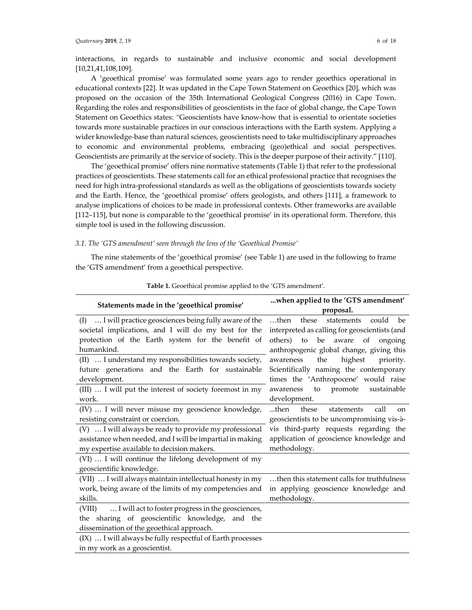interactions, in regards to sustainable and inclusive economic and social development [10,21,41,108,109].

A 'geoethical promise' was formulated some years ago to render geoethics operational in educational contexts [22]. It was updated in the Cape Town Statement on Geoethics [20], which was proposed on the occasion of the 35th International Geological Congress (2016) in Cape Town. Regarding the roles and responsibilities of geoscientists in the face of global change, the Cape Town Statement on Geoethics states: *"*Geoscientists have know-how that is essential to orientate societies towards more sustainable practices in our conscious interactions with the Earth system. Applying a wider knowledge-base than natural sciences, geoscientists need to take multidisciplinary approaches to economic and environmental problems, embracing (geo)ethical and social perspectives. Geoscientists are primarily at the service of society. This is the deeper purpose of their activity." [110].

The 'geoethical promise' offers nine normative statements (Table 1) that refer to the professional practices of geoscientists. These statements call for an ethical professional practice that recognises the need for high intra-professional standards as well as the obligations of geoscientists towards society and the Earth. Hence, the 'geoethical promise' offers geologists, and others [111], a framework to analyse implications of choices to be made in professional contexts. Other frameworks are available [112–115], but none is comparable to the 'geoethical promise' in its operational form. Therefore, this simple tool is used in the following discussion.

#### *3.1. The 'GTS amendment' seen through the lens of the 'Geoethical Promise'*

The nine statements of the 'geoethical promise' (see Table 1) are used in the following to frame the 'GTS amendment' from a geoethical perspective.

| Statements made in the 'geoethical promise'                 | when applied to the 'GTS amendment'           |
|-------------------------------------------------------------|-----------------------------------------------|
|                                                             | proposal.                                     |
| (I)  I will practice geosciences being fully aware of the   | statements<br>…then<br>these<br>could<br>be   |
| societal implications, and I will do my best for the        | interpreted as calling for geoscientists (and |
| protection of the Earth system for the benefit of           | others)<br>be aware<br>to<br>of<br>ongoing    |
| humankind.                                                  | anthropogenic global change, giving this      |
| (II)  I understand my responsibilities towards society,     | highest<br>the<br>priority.<br>awareness      |
| future generations and the Earth for sustainable            | Scientifically naming the contemporary        |
| development.                                                | times the 'Anthropocene' would raise          |
| (III)  I will put the interest of society foremost in my    | promote<br>sustainable<br>to<br>awareness     |
| work.                                                       | development.                                  |
| (IV)  I will never misuse my geoscience knowledge,          | …then<br>these<br>statements<br>call<br>on    |
| resisting constraint or coercion.                           | geoscientists to be uncompromising vis-à-     |
| (V)  I will always be ready to provide my professional      | vis third-party requests regarding the        |
| assistance when needed, and I will be impartial in making   | application of geoscience knowledge and       |
| my expertise available to decision makers.                  | methodology.                                  |
| (VI)  I will continue the lifelong development of my        |                                               |
| geoscientific knowledge.                                    |                                               |
| (VII)  I will always maintain intellectual honesty in my    | then this statement calls for truthfulness.   |
| work, being aware of the limits of my competencies and      | in applying geoscience knowledge and          |
| skills.                                                     | methodology.                                  |
| I will act to foster progress in the geosciences,<br>(VIII) |                                               |
| the sharing of geoscientific knowledge, and the             |                                               |
| dissemination of the geoethical approach.                   |                                               |
| (IX)  I will always be fully respectful of Earth processes  |                                               |
| in my work as a geoscientist.                               |                                               |

**Table 1.** Geoethical promise applied to the 'GTS amendment'.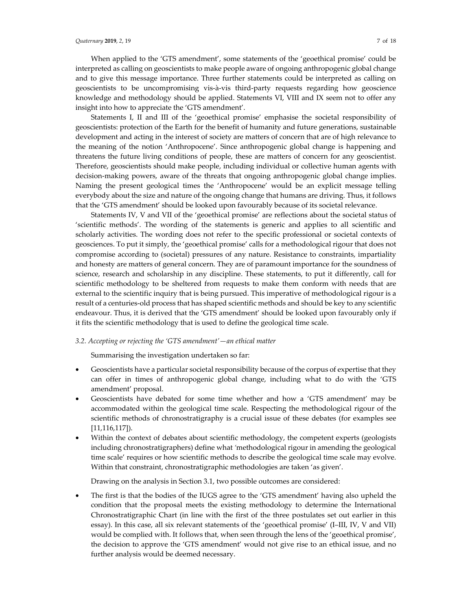When applied to the 'GTS amendment', some statements of the 'geoethical promise' could be interpreted as calling on geoscientists to make people aware of ongoing anthropogenic global change and to give this message importance. Three further statements could be interpreted as calling on geoscientists to be uncompromising vis-à-vis third-party requests regarding how geoscience knowledge and methodology should be applied. Statements VI, VIII and IX seem not to offer any insight into how to appreciate the 'GTS amendment'.

Statements I, II and III of the 'geoethical promise' emphasise the societal responsibility of geoscientists: protection of the Earth for the benefit of humanity and future generations, sustainable development and acting in the interest of society are matters of concern that are of high relevance to the meaning of the notion 'Anthropocene'. Since anthropogenic global change is happening and threatens the future living conditions of people, these are matters of concern for any geoscientist. Therefore, geoscientists should make people, including individual or collective human agents with decision-making powers, aware of the threats that ongoing anthropogenic global change implies. Naming the present geological times the 'Anthropocene' would be an explicit message telling everybody about the size and nature of the ongoing change that humans are driving. Thus, it follows that the 'GTS amendment' should be looked upon favourably because of its societal relevance.

Statements IV, V and VII of the 'geoethical promise' are reflections about the societal status of 'scientific methods'. The wording of the statements is generic and applies to all scientific and scholarly activities. The wording does not refer to the specific professional or societal contexts of geosciences. To put it simply, the 'geoethical promise' calls for a methodological rigour that does not compromise according to (societal) pressures of any nature. Resistance to constraints, impartiality and honesty are matters of general concern. They are of paramount importance for the soundness of science, research and scholarship in any discipline. These statements, to put it differently, call for scientific methodology to be sheltered from requests to make them conform with needs that are external to the scientific inquiry that is being pursued. This imperative of methodological rigour is a result of a centuries-old process that has shaped scientific methods and should be key to any scientific endeavour. Thus, it is derived that the 'GTS amendment' should be looked upon favourably only if it fits the scientific methodology that is used to define the geological time scale.

#### *3.2. Accepting or rejecting the 'GTS amendment'—an ethical matter*

Summarising the investigation undertaken so far:

- Geoscientists have a particular societal responsibility because of the corpus of expertise that they can offer in times of anthropogenic global change, including what to do with the 'GTS amendment' proposal.
- Geoscientists have debated for some time whether and how a 'GTS amendment' may be accommodated within the geological time scale. Respecting the methodological rigour of the scientific methods of chronostratigraphy is a crucial issue of these debates (for examples see [11,116,117]).
- Within the context of debates about scientific methodology, the competent experts (geologists including chronostratigraphers) define what *'*methodological rigour in amending the geological time scale' requires or how scientific methods to describe the geological time scale may evolve. Within that constraint, chronostratigraphic methodologies are taken 'as given'.

Drawing on the analysis in Section 3.1, two possible outcomes are considered:

• The first is that the bodies of the IUGS agree to the 'GTS amendment' having also upheld the condition that the proposal meets the existing methodology to determine the International Chronostratigraphic Chart (in line with the first of the three postulates set out earlier in this essay). In this case, all six relevant statements of the 'geoethical promise' (I–III, IV, V and VII) would be complied with. It follows that, when seen through the lens of the 'geoethical promise', the decision to approve the 'GTS amendment' would not give rise to an ethical issue, and no further analysis would be deemed necessary.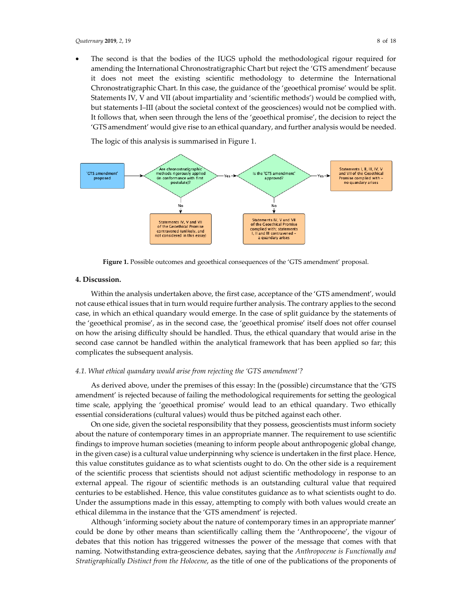The second is that the bodies of the IUGS uphold the methodological rigour required for amending the International Chronostratigraphic Chart but reject the 'GTS amendment' because it does not meet the existing scientific methodology to determine the International Chronostratigraphic Chart. In this case, the guidance of the 'geoethical promise' would be split. Statements IV, V and VII (about impartiality and 'scientific methods') would be complied with, but statements I–III (about the societal context of the geosciences) would not be complied with. It follows that, when seen through the lens of the 'geoethical promise', the decision to reject the 'GTS amendment' would give rise to an ethical quandary, and further analysis would be needed.

The logic of this analysis is summarised in Figure 1.



**Figure 1.** Possible outcomes and geoethical consequences of the 'GTS amendment' proposal.

## **4. Discussion.**

Within the analysis undertaken above, the first case, acceptance of the 'GTS amendment', would not cause ethical issues that in turn would require further analysis. The contrary applies to the second case, in which an ethical quandary would emerge. In the case of split guidance by the statements of the 'geoethical promise', as in the second case, the 'geoethical promise' itself does not offer counsel on how the arising difficulty should be handled. Thus, the ethical quandary that would arise in the second case cannot be handled within the analytical framework that has been applied so far; this complicates the subsequent analysis.

# *4.1. What ethical quandary would arise from rejecting the 'GTS amendment'?*

As derived above, under the premises of this essay: In the (possible) circumstance that the 'GTS amendment' is rejected because of failing the methodological requirements for setting the geological time scale, applying the 'geoethical promise' would lead to an ethical quandary. Two ethically essential considerations (cultural values) would thus be pitched against each other.

On one side, given the societal responsibility that they possess, geoscientists must inform society about the nature of contemporary times in an appropriate manner. The requirement to use scientific findings to improve human societies (meaning to inform people about anthropogenic global change, in the given case) is a cultural value underpinning why science is undertaken in the first place. Hence, this value constitutes guidance as to what scientists ought to do. On the other side is a requirement of the scientific process that scientists should not adjust scientific methodology in response to an external appeal. The rigour of scientific methods is an outstanding cultural value that required centuries to be established. Hence, this value constitutes guidance as to what scientists ought to do. Under the assumptions made in this essay, attempting to comply with both values would create an ethical dilemma in the instance that the 'GTS amendment' is rejected.

Although 'informing society about the nature of contemporary times in an appropriate manner' could be done by other means than scientifically calling them the 'Anthropocene', the vigour of debates that this notion has triggered witnesses the power of the message that comes with that naming. Notwithstanding extra-geoscience debates, saying that the *Anthropocene is Functionally and Stratigraphically Distinct from the Holocene*, as the title of one of the publications of the proponents of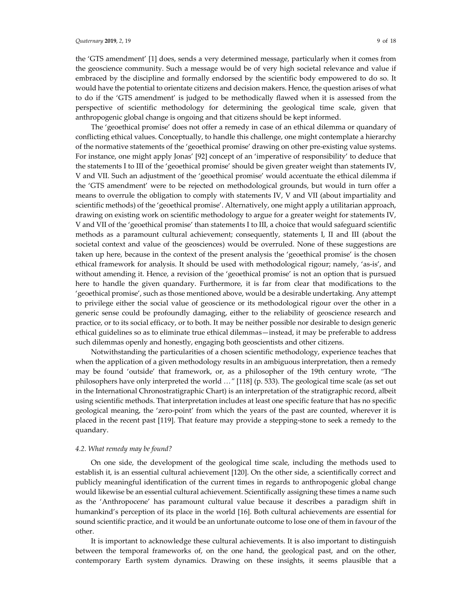the 'GTS amendment' [1] does, sends a very determined message, particularly when it comes from the geoscience community. Such a message would be of very high societal relevance and value if embraced by the discipline and formally endorsed by the scientific body empowered to do so. It would have the potential to orientate citizens and decision makers. Hence, the question arises of what to do if the 'GTS amendment' is judged to be methodically flawed when it is assessed from the perspective of scientific methodology for determining the geological time scale, given that anthropogenic global change is ongoing and that citizens should be kept informed.

The 'geoethical promise' does not offer a remedy in case of an ethical dilemma or quandary of conflicting ethical values. Conceptually, to handle this challenge, one might contemplate a hierarchy of the normative statements of the 'geoethical promise' drawing on other pre-existing value systems. For instance, one might apply Jonas' [92] concept of an 'imperative of responsibility' to deduce that the statements I to III of the 'geoethical promise' should be given greater weight than statements IV, V and VII. Such an adjustment of the 'geoethical promise' would accentuate the ethical dilemma if the 'GTS amendment' were to be rejected on methodological grounds, but would in turn offer a means to overrule the obligation to comply with statements IV, V and VII (about impartiality and scientific methods) of the 'geoethical promise'. Alternatively, one might apply a utilitarian approach, drawing on existing work on scientific methodology to argue for a greater weight for statements IV, V and VII of the 'geoethical promise' than statements I to III, a choice that would safeguard scientific methods as a paramount cultural achievement; consequently, statements I, II and III (about the societal context and value of the geosciences) would be overruled. None of these suggestions are taken up here, because in the context of the present analysis the 'geoethical promise' is the chosen ethical framework for analysis. It should be used with methodological rigour; namely, 'as-is', and without amending it. Hence, a revision of the 'geoethical promise' is not an option that is pursued here to handle the given quandary. Furthermore, it is far from clear that modifications to the 'geoethical promise', such as those mentioned above, would be a desirable undertaking. Any attempt to privilege either the social value of geoscience or its methodological rigour over the other in a generic sense could be profoundly damaging, either to the reliability of geoscience research and practice, or to its social efficacy, or to both. It may be neither possible nor desirable to design generic ethical guidelines so as to eliminate true ethical dilemmas—instead, it may be preferable to address such dilemmas openly and honestly, engaging both geoscientists and other citizens.

Notwithstanding the particularities of a chosen scientific methodology, experience teaches that when the application of a given methodology results in an ambiguous interpretation, then a remedy may be found 'outside' that framework, or, as a philosopher of the 19th century wrote, *"*The philosophers have only interpreted the world *…"* [118] (p. 533). The geological time scale (as set out in the International Chronostratigraphic Chart) is an interpretation of the stratigraphic record, albeit using scientific methods. That interpretation includes at least one specific feature that has no specific geological meaning, the 'zero-point' from which the years of the past are counted, wherever it is placed in the recent past [119]. That feature may provide a stepping-stone to seek a remedy to the quandary.

## *4.2. What remedy may be found?*

On one side, the development of the geological time scale, including the methods used to establish it, is an essential cultural achievement [120]. On the other side, a scientifically correct and publicly meaningful identification of the current times in regards to anthropogenic global change would likewise be an essential cultural achievement. Scientifically assigning these times a name such as the 'Anthropocene' has paramount cultural value because it describes a paradigm shift in humankind's perception of its place in the world [16]. Both cultural achievements are essential for sound scientific practice, and it would be an unfortunate outcome to lose one of them in favour of the other.

It is important to acknowledge these cultural achievements. It is also important to distinguish between the temporal frameworks of, on the one hand, the geological past, and on the other, contemporary Earth system dynamics. Drawing on these insights, it seems plausible that a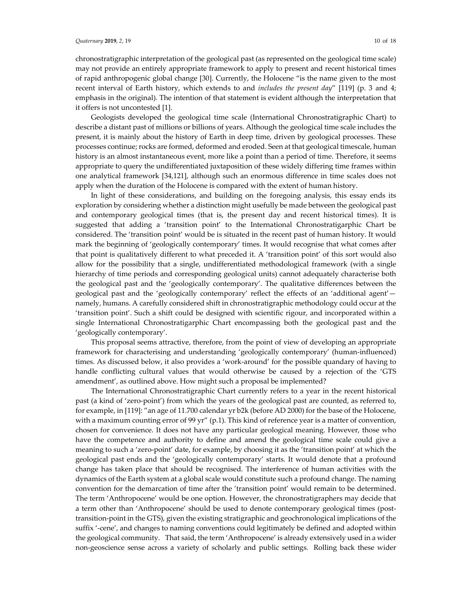#### *Quaternary* **2019**, 2, 19 10 of 18

chronostratigraphic interpretation of the geological past (as represented on the geological time scale) may not provide an entirely appropriate framework to apply to present and recent historical times of rapid anthropogenic global change [30]. Currently, the Holocene "is the name given to the most recent interval of Earth history, which extends to and *includes the present day*" [119] (p. 3 and 4; emphasis in the original). The intention of that statement is evident although the interpretation that it offers is not uncontested [1].

Geologists developed the geological time scale (International Chronostratigraphic Chart) to describe a distant past of millions or billions of years. Although the geological time scale includes the present, it is mainly about the history of Earth in deep time, driven by geological processes. These processes continue; rocks are formed, deformed and eroded. Seen at that geological timescale, human history is an almost instantaneous event, more like a point than a period of time. Therefore, it seems appropriate to query the undifferentiated juxtaposition of these widely differing time frames within one analytical framework [34,121], although such an enormous difference in time scales does not apply when the duration of the Holocene is compared with the extent of human history.

In light of these considerations, and building on the foregoing analysis, this essay ends its exploration by considering whether a distinction might usefully be made between the geological past and contemporary geological times (that is, the present day and recent historical times). It is suggested that adding a 'transition point' to the International Chronostratigarphic Chart be considered. The 'transition point' would be is situated in the recent past of human history. It would mark the beginning of 'geologically contemporary' times. It would recognise that what comes after that point is qualitatively different to what preceded it. A 'transition point' of this sort would also allow for the possibility that a single, undifferentiated methodological framework (with a single hierarchy of time periods and corresponding geological units) cannot adequately characterise both the geological past and the 'geologically contemporary'. The qualitative differences between the geological past and the 'geologically contemporary' reflect the effects of an 'additional agent' namely, humans. A carefully considered shift in chronostratigraphic methodology could occur at the 'transition point'. Such a shift could be designed with scientific rigour, and incorporated within a single International Chronostratigarphic Chart encompassing both the geological past and the 'geologically contemporary'.

This proposal seems attractive, therefore, from the point of view of developing an appropriate framework for characterising and understanding 'geologically contemporary' (human-influenced) times. As discussed below, it also provides a 'work-around' for the possible quandary of having to handle conflicting cultural values that would otherwise be caused by a rejection of the 'GTS amendment', as outlined above. How might such a proposal be implemented?

The International Chronostratigraphic Chart currently refers to a year in the recent historical past (a kind of 'zero-point') from which the years of the geological past are counted, as referred to, for example, in [119]: "an age of 11.700 calendar yr b2k (before AD 2000) for the base of the Holocene, with a maximum counting error of 99 yr" (p.1). This kind of reference year is a matter of convention, chosen for convenience. It does not have any particular geological meaning. However, those who have the competence and authority to define and amend the geological time scale could give a meaning to such a 'zero-point' date, for example, by choosing it as the 'transition point' at which the geological past ends and the 'geologically contemporary' starts. It would denote that a profound change has taken place that should be recognised. The interference of human activities with the dynamics of the Earth system at a global scale would constitute such a profound change. The naming convention for the demarcation of time after the 'transition point' would remain to be determined. The term 'Anthropocene' would be one option. However, the chronostratigraphers may decide that a term other than 'Anthropocene' should be used to denote contemporary geological times (posttransition-point in the GTS), given the existing stratigraphic and geochronological implications of the suffix '-cene', and changes to naming conventions could legitimately be defined and adopted within the geological community. That said, the term 'Anthropocene' is already extensively used in a wider non-geoscience sense across a variety of scholarly and public settings. Rolling back these wider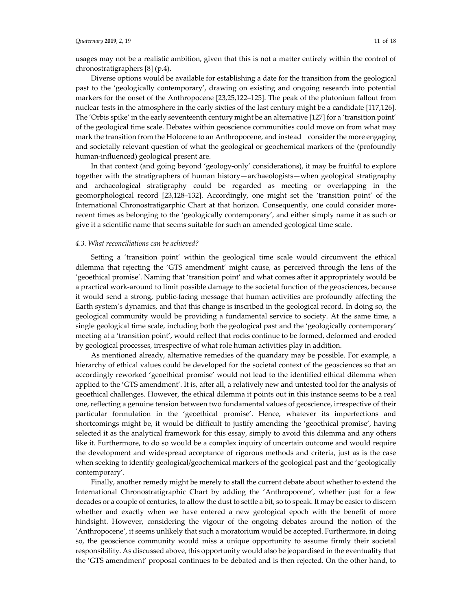usages may not be a realistic ambition, given that this is not a matter entirely within the control of chronostratigraphers [8] (p.4).

Diverse options would be available for establishing a date for the transition from the geological past to the 'geologically contemporary', drawing on existing and ongoing research into potential markers for the onset of the Anthropocene [23,25,122–125]. The peak of the plutonium fallout from nuclear tests in the atmosphere in the early sixties of the last century might be a candidate [117,126]. The 'Orbis spike' in the early seventeenth century might be an alternative [127] for a 'transition point' of the geological time scale. Debates within geoscience communities could move on from what may mark the transition from the Holocene to an Anthropocene, and instead consider the more engaging and societally relevant question of what the geological or geochemical markers of the (profoundly human-influenced) geological present are.

In that context (and going beyond 'geology-only' considerations), it may be fruitful to explore together with the stratigraphers of human history—archaeologists—when geological stratigraphy and archaeological stratigraphy could be regarded as meeting or overlapping in the geomorphological record [23,128–132]. Accordingly, one might set the 'transition point' of the International Chronostratigarphic Chart at that horizon. Consequently, one could consider morerecent times as belonging to the 'geologically contemporary', and either simply name it as such or give it a scientific name that seems suitable for such an amended geological time scale.

#### *4.3. What reconciliations can be achieved?*

Setting a 'transition point' within the geological time scale would circumvent the ethical dilemma that rejecting the 'GTS amendment' might cause, as perceived through the lens of the 'geoethical promise'. Naming that 'transition point' and what comes after it appropriately would be a practical work-around to limit possible damage to the societal function of the geosciences, because it would send a strong, public-facing message that human activities are profoundly affecting the Earth system's dynamics, and that this change is inscribed in the geological record. In doing so, the geological community would be providing a fundamental service to society. At the same time, a single geological time scale, including both the geological past and the 'geologically contemporary' meeting at a 'transition point', would reflect that rocks continue to be formed, deformed and eroded by geological processes, irrespective of what role human activities play in addition.

As mentioned already, alternative remedies of the quandary may be possible. For example, a hierarchy of ethical values could be developed for the societal context of the geosciences so that an accordingly reworked 'geoethical promise' would not lead to the identified ethical dilemma when applied to the 'GTS amendment'. It is, after all, a relatively new and untested tool for the analysis of geoethical challenges. However, the ethical dilemma it points out in this instance seems to be a real one, reflecting a genuine tension between two fundamental values of geoscience, irrespective of their particular formulation in the 'geoethical promise'. Hence, whatever its imperfections and shortcomings might be, it would be difficult to justify amending the 'geoethical promise', having selected it as the analytical framework for this essay, simply to avoid this dilemma and any others like it. Furthermore, to do so would be a complex inquiry of uncertain outcome and would require the development and widespread acceptance of rigorous methods and criteria, just as is the case when seeking to identify geological/geochemical markers of the geological past and the 'geologically contemporary'.

Finally, another remedy might be merely to stall the current debate about whether to extend the International Chronostratigraphic Chart by adding the 'Anthropocene', whether just for a few decades or a couple of centuries, to allow the dust to settle a bit, so to speak. It may be easier to discern whether and exactly when we have entered a new geological epoch with the benefit of more hindsight. However, considering the vigour of the ongoing debates around the notion of the 'Anthropocene', it seems unlikely that such a moratorium would be accepted. Furthermore, in doing so, the geoscience community would miss a unique opportunity to assume firmly their societal responsibility. As discussed above, this opportunity would also be jeopardised in the eventuality that the 'GTS amendment' proposal continues to be debated and is then rejected. On the other hand, to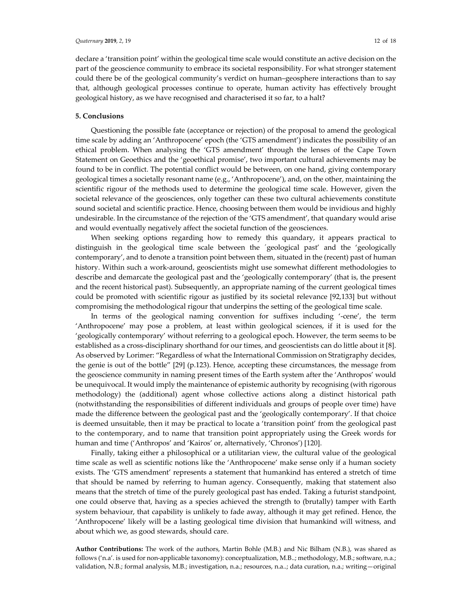#### *Quaternary* **2019**, *2*, 19 12 of 18

declare a 'transition point' within the geological time scale would constitute an active decision on the part of the geoscience community to embrace its societal responsibility. For what stronger statement could there be of the geological community's verdict on human–geosphere interactions than to say that, although geological processes continue to operate, human activity has effectively brought geological history, as we have recognised and characterised it so far, to a halt?

### **5. Conclusions**

Questioning the possible fate (acceptance or rejection) of the proposal to amend the geological time scale by adding an 'Anthropocene' epoch (the 'GTS amendment') indicates the possibility of an ethical problem. When analysing the 'GTS amendment' through the lenses of the Cape Town Statement on Geoethics and the 'geoethical promise', two important cultural achievements may be found to be in conflict. The potential conflict would be between, on one hand, giving contemporary geological times a societally resonant name (e.g., 'Anthropocene'), and, on the other, maintaining the scientific rigour of the methods used to determine the geological time scale. However, given the societal relevance of the geosciences, only together can these two cultural achievements constitute sound societal and scientific practice. Hence, choosing between them would be invidious and highly undesirable. In the circumstance of the rejection of the 'GTS amendment', that quandary would arise and would eventually negatively affect the societal function of the geosciences.

When seeking options regarding how to remedy this quandary, it appears practical to distinguish in the geological time scale between the ´geological past' and the 'geologically contemporary', and to denote a transition point between them, situated in the (recent) past of human history. Within such a work-around, geoscientists might use somewhat different methodologies to describe and demarcate the geological past and the 'geologically contemporary' (that is, the present and the recent historical past). Subsequently, an appropriate naming of the current geological times could be promoted with scientific rigour as justified by its societal relevance [92,133] but without compromising the methodological rigour that underpins the setting of the geological time scale.

In terms of the geological naming convention for suffixes including '-cene', the term 'Anthropocene' may pose a problem, at least within geological sciences, if it is used for the 'geologically contemporary' without referring to a geological epoch. However, the term seems to be established as a cross-disciplinary shorthand for our times, and geoscientists can do little about it [8]. As observed by Lorimer: "Regardless of what the International Commission on Stratigraphy decides, the genie is out of the bottle" [29] (p.123). Hence, accepting these circumstances, the message from the geoscience community in naming present times of the Earth system after the 'Anthropos' would be unequivocal. It would imply the maintenance of epistemic authority by recognising (with rigorous methodology) the (additional) agent whose collective actions along a distinct historical path (notwithstanding the responsibilities of different individuals and groups of people over time) have made the difference between the geological past and the 'geologically contemporary'. If that choice is deemed unsuitable, then it may be practical to locate a 'transition point' from the geological past to the contemporary, and to name that transition point appropriately using the Greek words for human and time ('Anthropos' and 'Kairos' or, alternatively, 'Chronos') [120].

Finally, taking either a philosophical or a utilitarian view, the cultural value of the geological time scale as well as scientific notions like the 'Anthropocene' make sense only if a human society exists. The 'GTS amendment' represents a statement that humankind has entered a stretch of time that should be named by referring to human agency. Consequently, making that statement also means that the stretch of time of the purely geological past has ended. Taking a futurist standpoint, one could observe that, having as a species achieved the strength to (brutally) tamper with Earth system behaviour, that capability is unlikely to fade away, although it may get refined. Hence, the 'Anthropocene' likely will be a lasting geological time division that humankind will witness, and about which we, as good stewards, should care.

**Author Contributions:** The work of the authors, Martin Bohle (M.B.) and Nic Bilham (N.B.), was shared as follows ('n.a'. is used for non-applicable taxonomy): conceptualization, M.B..; methodology, M.B.; software, n.a.; validation, N.B.; formal analysis, M.B.; investigation, n.a.; resources, n.a..; data curation, n.a.; writing—original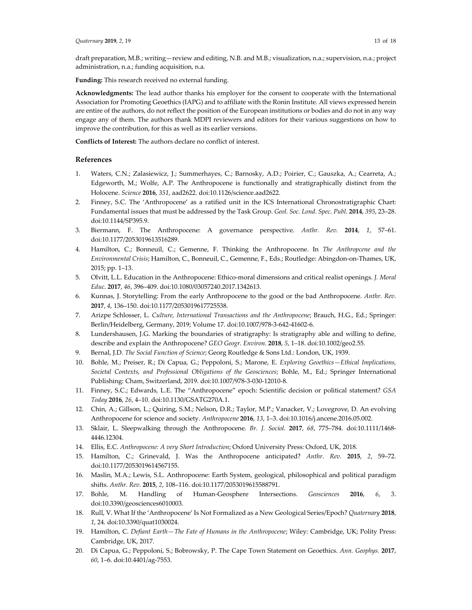draft preparation, M.B.; writing—review and editing, N.B. and M.B.; visualization, n.a.; supervision, n.a.; project administration, n.a.; funding acquisition, n.a.

**Funding:** This research received no external funding.

**Acknowledgments:** The lead author thanks his employer for the consent to cooperate with the International Association for Promoting Geoethics (IAPG) and to affiliate with the Ronin Institute. All views expressed herein are entire of the authors, do not reflect the position of the European institutions or bodies and do not in any way engage any of them. The authors thank MDPI reviewers and editors for their various suggestions on how to improve the contribution, for this as well as its earlier versions.

**Conflicts of Interest:** The authors declare no conflict of interest.

## **References**

- 1. Waters, C.N.; Zalasiewicz, J.; Summerhayes, C.; Barnosky, A.D.; Poirier, C.; Gauszka, A.; Cearreta, A.; Edgeworth, M.; Wolfe, A.P. The Anthropocene is functionally and stratigraphically distinct from the Holocene. *Science* **2016**, *351*, aad2622. doi:10.1126/science.aad2622.
- 2. Finney, S.C. The 'Anthropocene' as a ratified unit in the ICS International Chronostratigraphic Chart: Fundamental issues that must be addressed by the Task Group. *Geol. Soc. Lond. Spec. Publ.* **2014**, *395*, 23–28. doi:10.1144/SP395.9.
- 3. Biermann, F. The Anthropocene: A governance perspective. *Anthr. Rev.* **2014**, *1*, 57–61. doi:10.1177/2053019613516289.
- 4. Hamilton, C.; Bonneuil, C.; Gemenne, F. Thinking the Anthropocene. In *The Anthropcene and the Environmental Crisis*; Hamilton, C., Bonneuil, C., Gemenne, F., Eds.; Routledge: Abingdon-on-Thames, UK, 2015; pp. 1–13.
- 5. Olvitt, L.L. Education in the Anthropocene: Ethico-moral dimensions and critical realist openings. *J. Moral Educ.* **2017**, *46*, 396–409. doi:10.1080/03057240.2017.1342613.
- 6. Kunnas, J. Storytelling: From the early Anthropocene to the good or the bad Anthropocene. *Anthr. Rev.*  **2017**, *4*, 136–150. doi:10.1177/2053019617725538.
- 7. Arizpe Schlosser, L. *Culture, International Transactions and the Anthropocene*; Brauch, H.G., Ed.; Springer: Berlin/Heidelberg, Germany, 2019; Volume 17. doi:10.1007/978-3-642-41602-6.
- 8. Lundershausen, J.G. Marking the boundaries of stratigraphy: Is stratigraphy able and willing to define, describe and explain the Anthropocene? *GEO Geogr. Environ.* **2018**, *5*, 1–18. doi:10.1002/geo2.55.
- 9. Bernal, J.D. *The Social Function of Science*; Georg Routledge & Sons Ltd.: London, UK, 1939.
- 10. Bohle, M.; Preiser, R.; Di Capua, G.; Peppoloni, S.; Marone, E. *Exploring Geoethics—Ethical Implications, Societal Contexts, and Professional Obligations of the Geosciences*; Bohle, M., Ed.; Springer International Publishing: Cham, Switzerland, 2019. doi:10.1007/978-3-030-12010-8.
- 11. Finney, S.C.; Edwards, L.E. The "Anthropocene" epoch: Scientific decision or political statement? *GSA Today* **2016**, *26*, 4–10. doi:10.1130/GSATG270A.1.
- 12. Chin, A.; Gillson, L.; Quiring, S.M.; Nelson, D.R.; Taylor, M.P.; Vanacker, V.; Lovegrove, D. An evolving Anthropocene for science and society. *Anthropocene* **2016**, *13*, 1–3. doi:10.1016/j.ancene.2016.05.002.
- 13. Sklair, L. Sleepwalking through the Anthropocene. *Br. J. Sociol.* **2017**, *68*, 775–784. doi:10.1111/1468- 4446.12304.
- 14. Ellis, E.C. *Anthropocene: A very Short Introduction*; Oxford University Press: Oxford, UK, 2018.
- 15. Hamilton, C.; Grinevald, J. Was the Anthropocene anticipated? *Anthr. Rev.* **2015**, *2*, 59–72. doi:10.1177/2053019614567155.
- 16. Maslin, M.A.; Lewis, S.L. Anthropocene: Earth System, geological, philosophical and political paradigm shifts. *Anthr. Rev.* **2015**, *2*, 108–116. doi:10.1177/2053019615588791.
- 17. Bohle, M. Handling of Human-Geosphere Intersections. *Geosciences* **2016**, *6*, 3. doi:10.3390/geosciences6010003.
- 18. Rull, V. What If the 'Anthropocene' Is Not Formalized as a New Geological Series/Epoch? *Quaternary* **2018**, *1*, 24. doi:10.3390/quat1030024.
- 19. Hamilton, C. *Defiant Earth—The Fate of Humans in the Anthropocene*; Wiley: Cambridge, UK; Polity Press: Cambridge, UK, 2017.
- 20. Di Capua, G.; Peppoloni, S.; Bobrowsky, P. The Cape Town Statement on Geoethics. *Ann. Geophys.* **2017**, *60*, 1–6. doi:10.4401/ag-7553.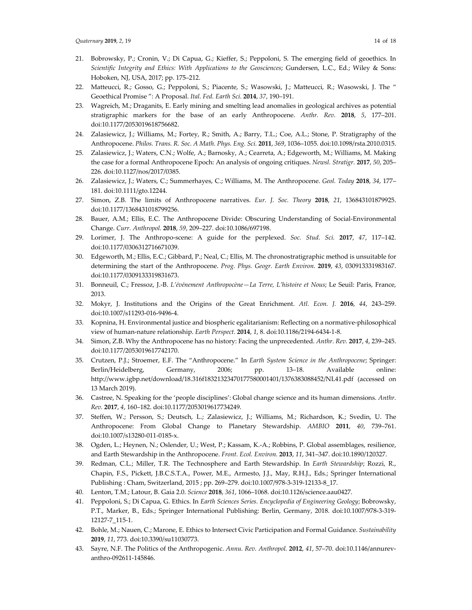- 21. Bobrowsky, P.; Cronin, V.; Di Capua, G.; Kieffer, S.; Peppoloni, S. The emerging field of geoethics. In *Scientific Integrity and Ethics: With Applications to the Geosciences*; Gundersen, L.C., Ed.; Wiley & Sons: Hoboken, NJ, USA, 2017; pp. 175–212.
- 22. Matteucci, R.; Gosso, G.; Peppoloni, S.; Piacente, S.; Wasowski, J.; Matteucci, R.; Wasowski, J. The " Geoethical Promise ": A Proposal. *Ital. Fed. Earth Sci.* **2014**, *37*, 190–191.
- 23. Wagreich, M.; Draganits, E. Early mining and smelting lead anomalies in geological archives as potential stratigraphic markers for the base of an early Anthropocene. *Anthr. Rev.* **2018**, *5*, 177–201. doi:10.1177/2053019618756682.
- 24. Zalasiewicz, J.; Williams, M.; Fortey, R.; Smith, A.; Barry, T.L.; Coe, A.L.; Stone, P. Stratigraphy of the Anthropocene. *Philos. Trans. R. Soc. A Math. Phys. Eng. Sci.* **2011**, *369*, 1036–1055. doi:10.1098/rsta.2010.0315.
- 25. Zalasiewicz, J.; Waters, C.N.; Wolfe, A.; Barnosky, A.; Cearreta, A.; Edgeworth, M.; Williams, M. Making the case for a formal Anthropocene Epoch: An analysis of ongoing critiques. *Newsl. Stratigr.* **2017**, *50*, 205– 226. doi:10.1127/nos/2017/0385.
- 26. Zalasiewicz, J.; Waters, C.; Summerhayes, C.; Williams, M. The Anthropocene. *Geol. Today* **2018**, *34*, 177– 181. doi:10.1111/gto.12244.
- 27. Simon, Z.B. The limits of Anthropocene narratives. *Eur. J. Soc. Theory* **2018**, *21*, 136843101879925. doi:10.1177/1368431018799256.
- 28. Bauer, A.M.; Ellis, E.C. The Anthropocene Divide: Obscuring Understanding of Social-Environmental Change. *Curr. Anthropol.* **2018**, *59*, 209–227. doi:10.1086/697198.
- 29. Lorimer, J. The Anthropo-scene: A guide for the perplexed. *Soc. Stud. Sci.* **2017**, *47*, 117–142. doi:10.1177/0306312716671039.
- 30. Edgeworth, M.; Ellis, E.C.; Gibbard, P.; Neal, C.; Ellis, M. The chronostratigraphic method is unsuitable for determining the start of the Anthropocene. *Prog. Phys. Geogr. Earth Environ.* **2019**, *43*, 030913331983167. doi:10.1177/0309133319831673.
- 31. Bonneuil, C.; Fressoz, J.-B. *L'événement Anthropocène—La Terre, L'histoire et Nous*; Le Seuil: Paris, France, 2013.
- 32. Mokyr, J. Institutions and the Origins of the Great Enrichment. *Atl. Econ. J.* **2016**, *44*, 243–259. doi:10.1007/s11293-016-9496-4.
- 33. Kopnina, H. Environmental justice and biospheric egalitarianism: Reflecting on a normative-philosophical view of human-nature relationship. *Earth Perspect.* **2014**, *1*, 8. doi:10.1186/2194-6434-1-8.
- 34. Simon, Z.B. Why the Anthropocene has no history: Facing the unprecedented. *Anthr. Rev.* **2017**, *4*, 239–245. doi:10.1177/2053019617742170.
- 35. Crutzen, P.J.; Stroemer, E.F. The "Anthropocene." In *Earth System Science in the Anthropocene*; Springer: Berlin/Heidelberg, Germany, 2006; pp. 13–18. Available online: http://www.igbp.net/download/18.316f18321323470177580001401/1376383088452/NL41.pdf (accessed on 13 March 2019).
- 36. Castree, N. Speaking for the 'people disciplines': Global change science and its human dimensions. *Anthr. Rev.* **2017**, *4*, 160–182. doi:10.1177/2053019617734249.
- 37. Steffen, W.; Persson, S.; Deutsch, L.; Zalasiewicz, J.; Williams, M.; Richardson, K.; Svedin, U. The Anthropocene: From Global Change to Planetary Stewardship. *AMBIO* **2011**, *40*, 739–761. doi:10.1007/s13280-011-0185-x.
- 38. Ogden, L.; Heynen, N.; Oslender, U.; West, P.; Kassam, K.-A.; Robbins, P. Global assemblages, resilience, and Earth Stewardship in the Anthropocene. *Front. Ecol. Environ.* **2013**, *11*, 341–347. doi:10.1890/120327.
- 39. Redman, C.L.; Miller, T.R. The Technosphere and Earth Stewardship. In *Earth Stewardship*; Rozzi, R., Chapin, F.S., Pickett, J.B.C.S.T.A., Power, M.E., Armesto, J.J., May, R.H.J., Eds.; Springer International Publishing : Cham, Switzerland, 2015 ; pp. 269–279. doi:10.1007/978-3-319-12133-8\_17.
- 40. Lenton, T.M.; Latour, B. Gaia 2.0. *Science* **2018**, *361*, 1066–1068. doi:10.1126/science.aau0427.
- 41. Peppoloni, S.; Di Capua, G. Ethics. In *Earth Sciences Series. Encyclopedia of Engineering Geology*; Bobrowsky, P.T., Marker, B., Eds.; Springer International Publishing: Berlin, Germany, 2018. doi:10.1007/978-3-319- 12127-7\_115-1.
- 42. Bohle, M.; Nauen, C.; Marone, E. Ethics to Intersect Civic Participation and Formal Guidance. *Sustainability*  **2019**, *11*, 773. doi:10.3390/su11030773.
- 43. Sayre, N.F. The Politics of the Anthropogenic. *Annu. Rev. Anthropol.* **2012**, *41*, 57–70. doi:10.1146/annurevanthro-092611-145846.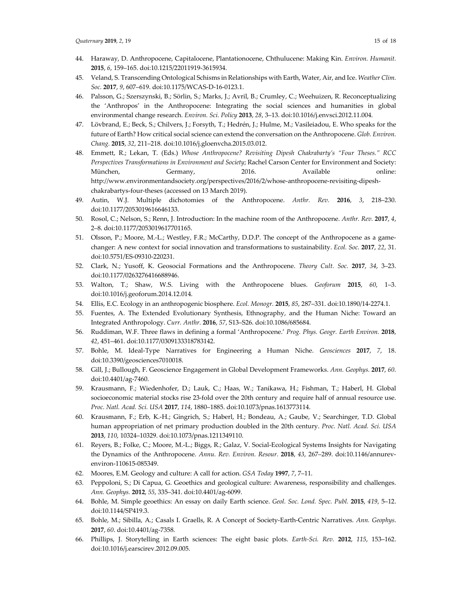- 44. Haraway, D. Anthropocene, Capitalocene, Plantationocene, Chthulucene: Making Kin. *Environ. Humanit.*  **2015**, *6*, 159–165. doi:10.1215/22011919-3615934.
- 45. Veland, S. Transcending Ontological Schisms in Relationships with Earth, Water, Air, and Ice. *Weather Clim. Soc.* **2017**, *9*, 607–619. doi:10.1175/WCAS-D-16-0123.1.
- 46. Palsson, G.; Szerszynski, B.; Sörlin, S.; Marks, J.; Avril, B.; Crumley, C.; Weehuizen, R. Reconceptualizing the 'Anthropos' in the Anthropocene: Integrating the social sciences and humanities in global environmental change research. *Environ. Sci. Policy* **2013**, *28*, 3–13. doi:10.1016/j.envsci.2012.11.004.
- 47. Lövbrand, E.; Beck, S.; Chilvers, J.; Forsyth, T.; Hedrén, J.; Hulme, M.; Vasileiadou, E. Who speaks for the future of Earth? How critical social science can extend the conversation on the Anthropocene. *Glob. Environ. Chang.* **2015**, *32*, 211–218. doi:10.1016/j.gloenvcha.2015.03.012.
- 48. Emmett, R.; Lekan, T. (Eds.) *Whose Anthropocene? Revisiting Dipesh Chakrabarty's "Four Theses." RCC Perspectives Transformations in Environment and Society*; Rachel Carson Center for Environment and Society: München, Germany, 2016. Available online: http://www.environmentandsociety.org/perspectives/2016/2/whose-anthropocene-revisiting-dipeshchakrabartys-four-theses (accessed on 13 March 2019).
- 49. Autin, W.J. Multiple dichotomies of the Anthropocene. *Anthr. Rev.* **2016**, *3*, 218–230. doi:10.1177/2053019616646133.
- 50. Rosol, C.; Nelson, S.; Renn, J. Introduction: In the machine room of the Anthropocene. *Anthr. Rev.* **2017**, *4*, 2–8. doi:10.1177/2053019617701165.
- 51. Olsson, P.; Moore, M.-L.; Westley, F.R.; McCarthy, D.D.P. The concept of the Anthropocene as a gamechanger: A new context for social innovation and transformations to sustainability. *Ecol. Soc.* **2017**, *22*, 31. doi:10.5751/ES-09310-220231.
- 52. Clark, N.; Yusoff, K. Geosocial Formations and the Anthropocene. *Theory Cult. Soc.* **2017**, *34*, 3–23. doi:10.1177/0263276416688946.
- 53. Walton, T.; Shaw, W.S. Living with the Anthropocene blues. *Geoforum* **2015**, *60*, 1–3. doi:10.1016/j.geoforum.2014.12.014.
- 54. Ellis, E.C. Ecology in an anthropogenic biosphere. *Ecol. Monogr.* **2015**, *85*, 287–331. doi:10.1890/14-2274.1.
- 55. Fuentes, A. The Extended Evolutionary Synthesis, Ethnography, and the Human Niche: Toward an Integrated Anthropology. *Curr. Anthr.* **2016**, *57*, S13–S26. doi:10.1086/685684.
- 56. Ruddiman, W.F. Three flaws in defining a formal 'Anthropocene.' *Prog. Phys. Geogr. Earth Environ.* **2018**, *42*, 451–461. doi:10.1177/0309133318783142.
- 57. Bohle, M. Ideal-Type Narratives for Engineering a Human Niche. *Geosciences* **2017**, *7*, 18. doi:10.3390/geosciences7010018.
- 58. Gill, J.; Bullough, F. Geoscience Engagement in Global Development Frameworks. *Ann. Geophys.* **2017**, *60*. doi:10.4401/ag-7460.
- 59. Krausmann, F.; Wiedenhofer, D.; Lauk, C.; Haas, W.; Tanikawa, H.; Fishman, T.; Haberl, H. Global socioeconomic material stocks rise 23-fold over the 20th century and require half of annual resource use. *Proc. Natl. Acad. Sci. USA* **2017**, *114*, 1880–1885. doi:10.1073/pnas.1613773114.
- 60. Krausmann, F.; Erb, K.-H.; Gingrich, S.; Haberl, H.; Bondeau, A.; Gaube, V.; Searchinger, T.D. Global human appropriation of net primary production doubled in the 20th century. *Proc. Natl. Acad. Sci. USA*  **2013**, *110*, 10324–10329. doi:10.1073/pnas.1211349110.
- 61. Reyers, B.; Folke, C.; Moore, M.-L.; Biggs, R.; Galaz, V. Social-Ecological Systems Insights for Navigating the Dynamics of the Anthropocene. *Annu. Rev. Environ. Resour.* **2018**, *43*, 267–289. doi:10.1146/annurevenviron-110615-085349.
- 62. Moores, E.M. Geology and culture: A call for action. *GSA Today* **1997**, *7*, 7–11.
- 63. Peppoloni, S.; Di Capua, G. Geoethics and geological culture: Awareness, responsibility and challenges. *Ann. Geophys.* **2012**, *55*, 335–341. doi:10.4401/ag-6099.
- 64. Bohle, M. Simple geoethics: An essay on daily Earth science. *Geol. Soc. Lond. Spec. Publ.* **2015**, *419*, 5–12. doi:10.1144/SP419.3.
- 65. Bohle, M.; Sibilla, A.; Casals I. Graells, R. A Concept of Society-Earth-Centric Narratives. *Ann. Geophys*. **2017**, *60*. doi:10.4401/ag-7358.
- 66. Phillips, J. Storytelling in Earth sciences: The eight basic plots. *Earth-Sci. Rev.* **2012**, *115*, 153–162. doi:10.1016/j.earscirev.2012.09.005.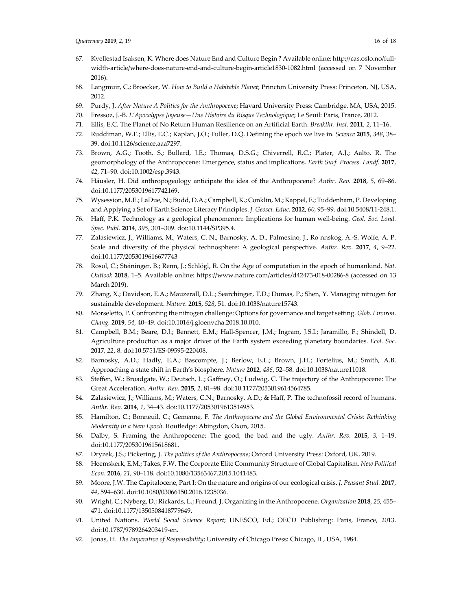- 67. Kvellestad Isaksen, K. Where does Nature End and Culture Begin ? Available online: http://cas.oslo.no/fullwidth-article/where-does-nature-end-and-culture-begin-article1830-1082.html (accessed on 7 November 2016).
- 68. Langmuir, C.; Broecker, W. *How to Build a Habitable Planet*; Princton University Press: Princeton, NJ, USA, 2012.
- 69. Purdy, J. *After Nature A Politics for the Anthropocene*; Havard University Press: Cambridge, MA, USA, 2015.
- 70. Fressoz, J.-B. *L'Apocalypse Joyeuse—Une Histoire du Risque Technologique*; Le Seuil: Paris, France, 2012.
- 71. Ellis, E.C. The Planet of No Return Human Resilience on an Artificial Earth. *Breakthr. Inst.* **2011**, *2*, 11–16.
- 72. Ruddiman, W.F.; Ellis, E.C.; Kaplan, J.O.; Fuller, D.Q. Defining the epoch we live in. *Science* **2015**, *348*, 38– 39. doi:10.1126/science.aaa7297.
- 73. Brown, A.G.; Tooth, S.; Bullard, J.E.; Thomas, D.S.G.; Chiverrell, R.C.; Plater, A.J.; Aalto, R. The geomorphology of the Anthropocene: Emergence, status and implications. *Earth Surf. Process. Landf.* **2017**, *42*, 71–90. doi:10.1002/esp.3943.
- 74. Häusler, H. Did anthropogeology anticipate the idea of the Anthropocene? *Anthr. Rev.* **2018**, *5*, 69–86. doi:10.1177/2053019617742169.
- 75. Wysession, M.E.; LaDue, N.; Budd, D.A.; Campbell, K.; Conklin, M.; Kappel, E.; Tuddenham, P. Developing and Applying a Set of Earth Science Literacy Principles. *J. Geosci. Educ.* **2012**, *60*, 95–99. doi:10.5408/11-248.1.
- 76. Haff, P.K. Technology as a geological phenomenon: Implications for human well-being. *Geol. Soc. Lond. Spec. Publ.* **2014**, *395*, 301–309. doi:10.1144/SP395.4.
- 77. Zalasiewicz, J., Williams, M., Waters, C. N., Barnosky, A. D., Palmesino, J., Ro nnskog, A.-S. Wolfe, A. P. Scale and diversity of the physical technosphere: A geological perspective. *Anthr. Rev.* **2017**, *4*, 9–22. doi:10.1177/2053019616677743
- 78. Rosol, C.; Steininger, B.; Renn, J.; Schlögl, R. On the Age of computation in the epoch of humankind. *Nat. Outlook* **2018**, 1–5. Available online: https://www.nature.com/articles/d42473-018-00286-8 (accessed on 13 March 2019).
- 79. Zhang, X.; Davidson, E.A.; Mauzerall, D.L.; Searchinger, T.D.; Dumas, P.; Shen, Y. Managing nitrogen for sustainable development. *Nature*. **2015**, *528*, 51. doi:10.1038/nature15743.
- 80. Morseletto, P. Confronting the nitrogen challenge: Options for governance and target setting. *Glob. Environ. Chang.* **2019**, *54*, 40–49. doi:10.1016/j.gloenvcha.2018.10.010.
- 81. Campbell, B.M.; Beare, D.J.; Bennett, E.M.; Hall-Spencer, J.M.; Ingram, J.S.I.; Jaramillo, F.; Shindell, D. Agriculture production as a major driver of the Earth system exceeding planetary boundaries. *Ecol. Soc.*  **2017**, *22*, 8. doi:10.5751/ES-09595-220408.
- 82. Barnosky, A.D.; Hadly, E.A.; Bascompte, J.; Berlow, E.L.; Brown, J.H.; Fortelius, M.; Smith, A.B. Approaching a state shift in Earth's biosphere. *Nature* **2012**, *486*, 52–58. doi:10.1038/nature11018.
- 83. Steffen, W.; Broadgate, W.; Deutsch, L.; Gaffney, O.; Ludwig, C. The trajectory of the Anthropocene: The Great Acceleration. *Anthr. Rev.* **2015**, *2*, 81–98. doi:10.1177/2053019614564785.
- 84. Zalasiewicz, J.; Williams, M.; Waters, C.N.; Barnosky, A.D.; & Haff, P. The technofossil record of humans. *Anthr. Rev.* **2014**, *1*, 34–43. doi:10.1177/2053019613514953.
- 85. Hamilton, C.; Bonneuil, C.; Gemenne, F. *The Anthropocene and the Global Environmental Crisis: Rethinking Modernity in a New Epoch.* Routledge: Abingdon, Oxon, 2015.
- 86. Dalby, S. Framing the Anthropocene: The good, the bad and the ugly. *Anthr. Rev.* **2015**, *3*, 1–19. doi:10.1177/2053019615618681.
- 87. Dryzek, J.S.; Pickering, J. *The politics of the Anthropocene*; Oxford University Press: Oxford, UK, 2019.
- 88. Heemskerk, E.M.; Takes, F.W. The Corporate Elite Community Structure of Global Capitalism. *New Political Econ.* **2016**, *21*, 90–118. doi:10.1080/13563467.2015.1041483.
- 89. Moore, J.W. The Capitalocene, Part I: On the nature and origins of our ecological crisis. *J. Peasant Stud.* **2017**, *44*, 594–630. doi:10.1080/03066150.2016.1235036.
- 90. Wright, C.; Nyberg, D.; Rickards, L.; Freund, J. Organizing in the Anthropocene. *Organization* **2018**, *25*, 455– 471. doi:10.1177/1350508418779649.
- 91. United Nations. *World Social Science Report*; UNESCO, Ed.; OECD Publishing: Paris, France, 2013. doi:10.1787/9789264203419-en.
- 92. Jonas, H. *The Imperative of Responsibility*; University of Chicago Press: Chicago, IL, USA, 1984.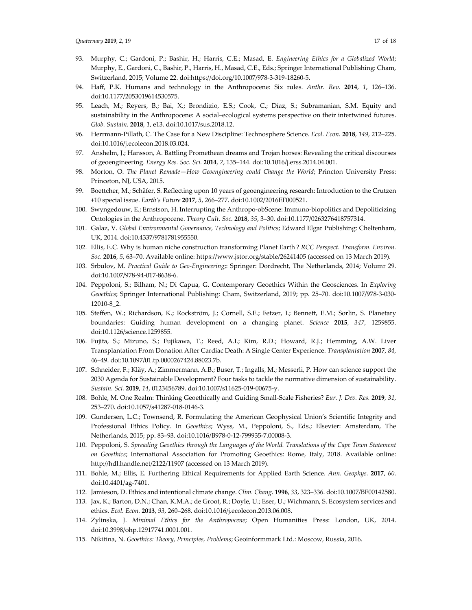- 93. Murphy, C.; Gardoni, P.; Bashir, H.; Harris, C.E.; Masad, E. *Engineering Ethics for a Globalized World*; Murphy, E., Gardoni, C., Bashir, P., Harris, H., Masad, C.E., Eds.; Springer International Publishing: Cham, Switzerland, 2015; Volume 22. doi:https://doi.org/10.1007/978-3-319-18260-5.
- 94. Haff, P.K. Humans and technology in the Anthropocene: Six rules. *Anthr. Rev.* **2014**, *1*, 126–136. doi:10.1177/2053019614530575.
- 95. Leach, M.; Reyers, B.; Bai, X.; Brondizio, E.S.; Cook, C.; Díaz, S.; Subramanian, S.M. Equity and sustainability in the Anthropocene: A social–ecological systems perspective on their intertwined futures. *Glob. Sustain.* **2018**, *1*, e13. doi:10.1017/sus.2018.12.
- 96. Herrmann-Pillath, C. The Case for a New Discipline: Technosphere Science. *Ecol. Econ.* **2018**, *149*, 212–225. doi:10.1016/j.ecolecon.2018.03.024.
- 97. Anshelm, J.; Hansson, A. Battling Promethean dreams and Trojan horses: Revealing the critical discourses of geoengineering. *Energy Res. Soc. Sci.* **2014**, *2*, 135–144. doi:10.1016/j.erss.2014.04.001.
- 98. Morton, O. *The Planet Remade—How Geoengineering could Change the World*; Princton University Press: Princeton, NJ, USA, 2015.
- 99. Boettcher, M.; Schäfer, S. Reflecting upon 10 years of geoengineering research: Introduction to the Crutzen +10 special issue. *Earth's Future* **2017**, *5*, 266–277. doi:10.1002/2016EF000521.
- 100. Swyngedouw, E.; Ernstson, H. Interrupting the Anthropo-obScene: Immuno-biopolitics and Depoliticizing Ontologies in the Anthropocene. *Theory Cult. Soc.* **2018**, *35*, 3–30. doi:10.1177/0263276418757314.
- 101. Galaz, V. *Global Environmental Governance, Technology and Politics*; Edward Elgar Publishing: Cheltenham, UK, 2014. doi:10.4337/9781781955550.
- 102. Ellis, E.C. Why is human niche construction transforming Planet Earth ? *RCC Perspect. Transform. Environ. Soc.* **2016**, *5*, 63–70. Available online: https://www.jstor.org/stable/26241405 (accessed on 13 March 2019).
- 103. Srbulov, M. *Practical Guide to Geo-Engineering*;: Springer: Dordrecht, The Netherlands, 2014; Volumr 29. doi:10.1007/978-94-017-8638-6.
- 104. Peppoloni, S.; Bilham, N.; Di Capua, G. Contemporary Geoethics Within the Geosciences. In *Exploring Geoethics*; Springer International Publishing: Cham, Switzerland, 2019; pp. 25–70. doi:10.1007/978-3-030- 12010-8\_2.
- 105. Steffen, W.; Richardson, K.; Rockström, J.; Cornell, S.E.; Fetzer, I.; Bennett, E.M.; Sorlin, S. Planetary boundaries: Guiding human development on a changing planet. *Science* **2015**, *347*, 1259855. doi:10.1126/science.1259855.
- 106. Fujita, S.; Mizuno, S.; Fujikawa, T.; Reed, A.I.; Kim, R.D.; Howard, R.J.; Hemming, A.W. Liver Transplantation From Donation After Cardiac Death: A Single Center Experience. *Transplantation* **2007**, *84*, 46–49. doi:10.1097/01.tp.0000267424.88023.7b.
- 107. Schneider, F.; Kläy, A.; Zimmermann, A.B.; Buser, T.; Ingalls, M.; Messerli, P. How can science support the 2030 Agenda for Sustainable Development? Four tasks to tackle the normative dimension of sustainability. *Sustain. Sci.* **2019**, *14*, 0123456789. doi:10.1007/s11625-019-00675-y.
- 108. Bohle, M. One Realm: Thinking Geoethically and Guiding Small-Scale Fisheries? *Eur. J. Dev. Res.* **2019**, *31*, 253–270. doi:10.1057/s41287-018-0146-3.
- 109. Gundersen, L.C.; Townsend, R. Formulating the American Geophysical Union's Scientific Integrity and Professional Ethics Policy. In *Geoethics*; Wyss, M., Peppoloni, S., Eds.; Elsevier: Amsterdam, The Netherlands, 2015; pp. 83–93. doi:10.1016/B978-0-12-799935-7.00008-3.
- 110. Peppoloni, S. *Spreading Geoethics through the Languages of the World. Translations of the Cape Town Statement on Geoethics*; International Association for Promoting Geoethics: Rome, Italy, 2018. Available online: http://hdl.handle.net/2122/11907 (accessed on 13 March 2019).
- 111. Bohle, M.; Ellis, E. Furthering Ethical Requirements for Applied Earth Science. *Ann. Geophys.* **2017**, *60*. doi:10.4401/ag-7401.
- 112. Jamieson, D. Ethics and intentional climate change. *Clim. Chang.* **1996**, *33*, 323–336. doi:10.1007/BF00142580.
- 113. Jax, K.; Barton, D.N.; Chan, K.M.A.; de Groot, R.; Doyle, U.; Eser, U.; Wichmann, S. Ecosystem services and ethics. *Ecol. Econ.* **2013**, *93*, 260–268. doi:10.1016/j.ecolecon.2013.06.008.
- 114. Zylinska, J. *Minimal Ethics for the Anthropocene*; Open Humanities Press: London, UK, 2014. doi:10.3998/ohp.12917741.0001.001.
- 115. Nikitina, N. *Geoethics: Theory, Principles, Problems*; Geoinformmark Ltd.: Moscow, Russia, 2016.